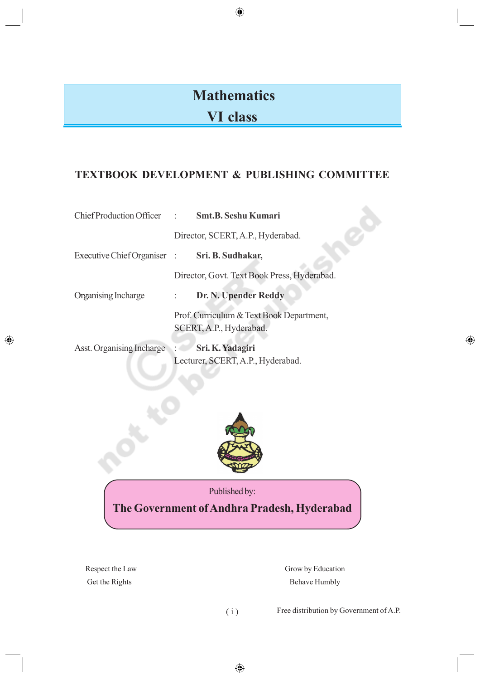# **Mathematics**

 $\bigoplus$ 

## **VI class**

### **TEXTBOOK DEVELOPMENT & PUBLISHING COMMITTEE**

|                                               | Chief Production Officer : Smt.B. Seshu Kumari                      |  |
|-----------------------------------------------|---------------------------------------------------------------------|--|
|                                               | Director, SCERT, A.P., Hyderabad.                                   |  |
| Executive Chief Organiser : Sri. B. Sudhakar, |                                                                     |  |
|                                               | Director, Govt. Text Book Press, Hyderabad.                         |  |
| Organising Incharge                           | Dr. N. Upender Reddy<br>$\mathcal{L}$                               |  |
|                                               | Prof. Curriculum & Text Book Department,<br>SCERT, A.P., Hyderabad. |  |
| Asst. Organising Incharge                     | Sri. K. Yadagiri<br>Lecturer, SCERT, A.P., Hyderabad.               |  |



Published by:

**The Government of Andhra Pradesh, Hyderabad**

◈

Respect the Law Grow by Education Get the Rights Behave Humbly

( i ) Free distribution by Government of A.P.

 $\bigoplus$ 

 $\bigoplus$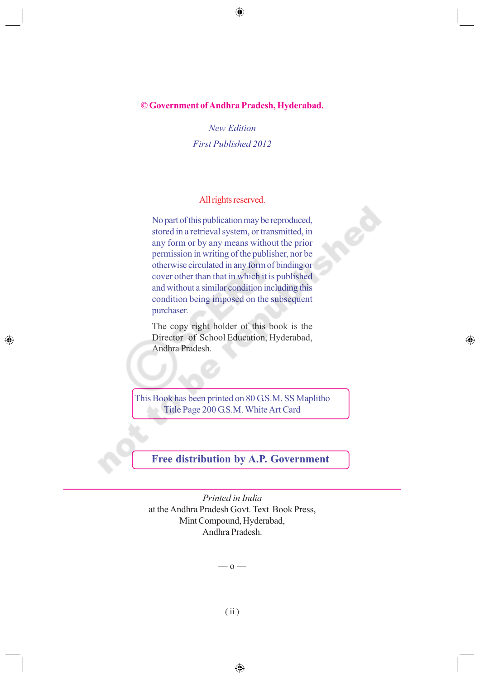#### **© Government of Andhra Pradesh, Hyderabad.**

 $\bigoplus$ 

*New Edition First Published 2012*

#### All rights reserved.

No part of this publication may be reproduced, stored in a retrieval system, or transmitted, in any form or by any means without the prior permission in writing of the publisher, nor be otherwise circulated in any form of binding or cover other than that in which it is published and without a similar condition including this condition being imposed on the subsequent purchaser.

The copy right holder of this book is the Director of School Education, Hyderabad, Andhra Pradesh.

◈

◈

This Book has been printed on 80 G.S.M. SS Maplitho Title Page 200 G.S.M. White Art Card

**Free distribution by A.P. Government**

*Printed in India* at the Andhra Pradesh Govt. Text Book Press, Mint Compound, Hyderabad, Andhra Pradesh.

–– o ––

⊕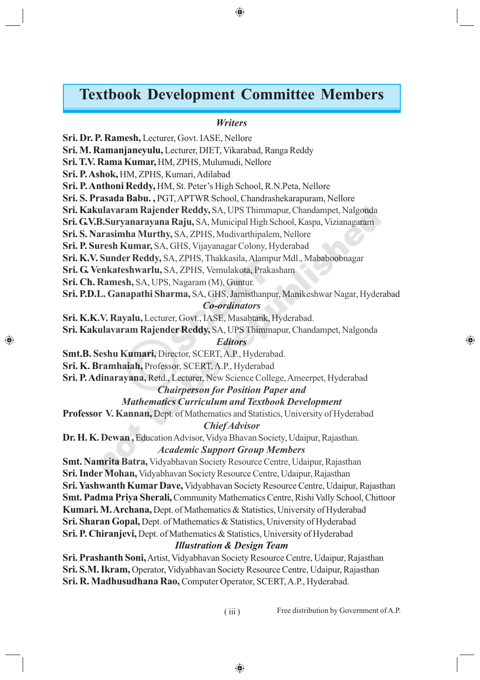### **Textbook Development Committee Members**

 $\bigoplus$ 

#### *Writers*

**Sri. Dr. P. Ramesh,** Lecturer, Govt. IASE, Nellore **Sri. M. Ramanjaneyulu,** Lecturer, DIET, Vikarabad, Ranga Reddy **Sri. T.V. Rama Kumar,** HM, ZPHS, Mulumudi, Nellore **Sri. P. Ashok,** HM, ZPHS, Kumari, Adilabad **Sri. P. Anthoni Reddy,** HM, St. Peter's High School, R.N.Peta, Nellore **Sri. S. Prasada Babu. ,** PGT, APTWR School, Chandrashekarapuram, Nellore **Sri. Kakulavaram Rajender Reddy,** SA, UPS Thimmapur, Chandampet, Nalgonda **Sri. G.V.B.Suryanarayana Raju,** SA, Municipal High School, Kaspa, Vizianagaram **Sri. S. Narasimha Murthy,** SA, ZPHS, Mudivarthipalem, Nellore **Sri. P. Suresh Kumar,** SA, GHS, Vijayanagar Colony, Hyderabad **Sri. K.V. Sunder Reddy,** SA, ZPHS, Thakkasila, Alampur Mdl., Mababoobnagar **Sri. G. Venkateshwarlu,** SA, ZPHS, Vemulakota, Prakasham **Sri. Ch. Ramesh,** SA, UPS, Nagaram (M), Guntur. **Sri. P.D.L. Ganapathi Sharma,** SA, GHS, Jamisthanpur, Manikeshwar Nagar, Hyderabad *Co-ordinators* **Sri. K.K.V. Rayalu,** Lecturer, Govt., IASE, Masabtank, Hyderabad. **Sri. Kakulavaram Rajender Reddy,** SA, UPS Thimmapur, Chandampet, Nalgonda *Editors* **Smt.B. Seshu Kumari,** Director, SCERT, A.P., Hyderabad. **Sri. K. Bramhaiah,** Professor, SCERT, A.P., Hyderabad **Sri. P. Adinarayana,** Retd., Lecturer, New Science College, Ameerpet, Hyderabad *Chairperson for Position Paper and Mathematics Curriculum and Textbook Development* **Professor V. Kannan,** Dept. of Mathematics and Statistics, University of Hyderabad *Chief Advisor* **Dr. H. K. Dewan ,** Education Advisor, Vidya Bhavan Society, Udaipur, Rajasthan. *Academic Support Group Members* **Smt. Namrita Batra,** Vidyabhavan Society Resource Centre, Udaipur, Rajasthan **Sri. Inder Mohan,** Vidyabhavan Society Resource Centre, Udaipur, Rajasthan **Sri. Yashwanth Kumar Dave,** Vidyabhavan Society Resource Centre, Udaipur, Rajasthan **Smt. Padma Priya Sherali,** Community Mathematics Centre, Rishi Vally School, Chittoor **Kumari. M. Archana,** Dept. of Mathematics & Statistics, University of Hyderabad **Sri. Sharan Gopal,** Dept. of Mathematics & Statistics, University of Hyderabad **Sri. P. Chiranjevi,** Dept. of Mathematics & Statistics, University of Hyderabad *Illustration & Design Team*

◈

**Sri. Prashanth Soni,** Artist, Vidyabhavan Society Resource Centre, Udaipur, Rajasthan **Sri. S.M. Ikram,** Operator, Vidyabhavan Society Resource Centre, Udaipur, Rajasthan **Sri. R. Madhusudhana Rao,** Computer Operator, SCERT, A.P., Hyderabad.

(iii) Free distribution by Government of A.P.

◈

⊕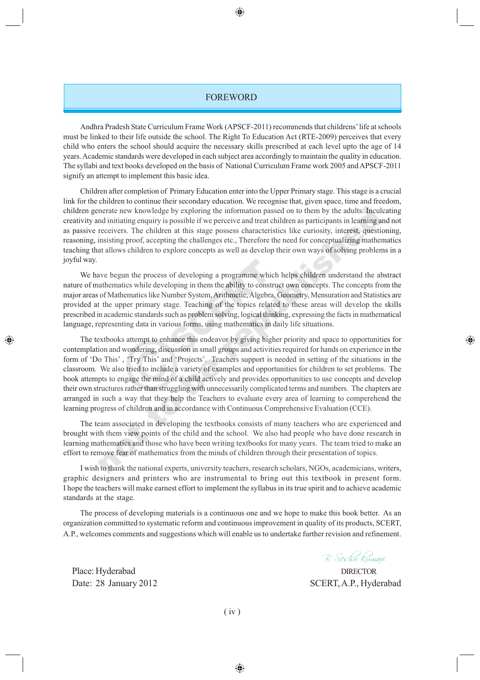#### FOREWORD

⊕

Andhra Pradesh State Curriculum Frame Work (APSCF-2011) recommends that childrens' life at schools must be linked to their life outside the school. The Right To Education Act (RTE-2009) perceives that every child who enters the school should acquire the necessary skills prescribed at each level upto the age of 14 years. Academic standards were developed in each subject area accordingly to maintain the quality in education. The syllabi and text books developed on the basis of National Curriculum Frame work 2005 and APSCF-2011 signify an attempt to implement this basic idea.

Children after completion of Primary Education enter into the Upper Primary stage. This stage is a crucial link for the children to continue their secondary education. We recognise that, given space, time and freedom, children generate new knowledge by exploring the information passed on to them by the adults. Inculcating creativity and initiating enquiry is possible if we perceive and treat children as participants in learning and not as passive receivers. The children at this stage possess characteristics like curiosity, interest, questioning, reasoning, insisting proof, accepting the challenges etc., Therefore the need for conceptualizing mathematics teaching that allows children to explore concepts as well as develop their own ways of solving problems in a joyful way.

We have begun the process of developing a programme which helps children understand the abstract nature of mathematics while developing in them the ability to construct own concepts. The concepts from the major areas of Mathematics like Number System, Arithmetic, Algebra, Geometry, Mensuration and Statistics are provided at the upper primary stage. Teaching of the topics related to these areas will develop the skills prescribed in academic standards such as problem solving, logical thinking, expressing the facts in mathematical language, representing data in various forms, using mathematics in daily life situations.

The textbooks attempt to enhance this endeavor by giving higher priority and space to opportunities for contemplation and wondering, discussion in small groups and activities required for hands on experience in the form of 'Do This' , 'Try This' and 'Projects'. Teachers support is needed in setting of the situations in the classroom. We also tried to include a variety of examples and opportunities for children to set problems. The book attempts to engage the mind of a child actively and provides opportunities to use concepts and develop their own structures rather than struggling with unnecessarily complicated terms and numbers. The chapters are arranged in such a way that they help the Teachers to evaluate every area of learning to comperehend the learning progress of children and in accordance with Continuous Comprehensive Evaluation (CCE).

The team associated in developing the textbooks consists of many teachers who are experienced and brought with them view points of the child and the school. We also had people who have done research in learning mathematics and those who have been writing textbooks for many years. The team tried to make an effort to remove fear of mathematics from the minds of children through their presentation of topics.

I wish to thank the national experts, university teachers, research scholars, NGOs, academicians, writers, graphic designers and printers who are instrumental to bring out this textbook in present form. I hope the teachers will make earnest effort to implement the syllabus in its true spirit and to achieve academic standards at the stage.

The process of developing materials is a continuous one and we hope to make this book better. As an organization committed to systematic reform and continuous improvement in quality of its products, SCERT, A.P., welcomes comments and suggestions which will enable us to undertake further revision and refinement.

B. Seshu kumari

⊕

Date: 28 January 2012 SCERT, A.P., Hyderabad

Place: Hyderabad DIRECTOR

◈

( iv )

◈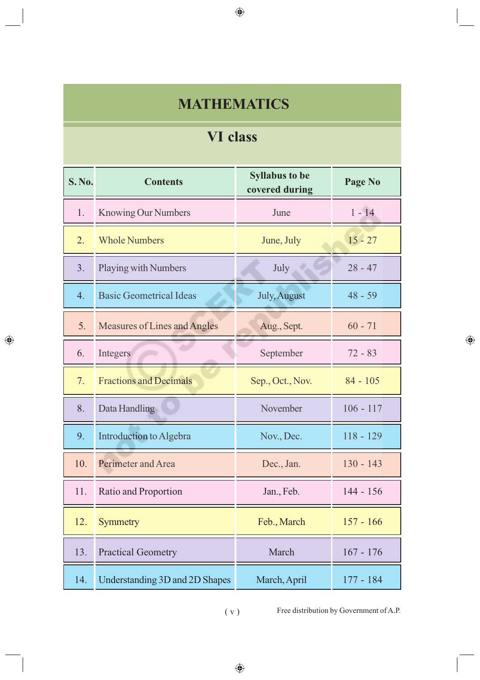## **MATHEMATICS**

 $\bigoplus$ 

## **VI class**

| <b>S. No.</b> | <b>Contents</b>                     | <b>Syllabus to be</b><br>covered during | Page No     |
|---------------|-------------------------------------|-----------------------------------------|-------------|
| 1.            | <b>Knowing Our Numbers</b>          | June                                    | $1 - 14$    |
| 2.            | <b>Whole Numbers</b>                | June, July                              | $15 - 27$   |
| 3.            | Playing with Numbers                | July                                    | $28 - 47$   |
| 4.            | <b>Basic Geometrical Ideas</b>      | July, August                            | $48 - 59$   |
| 5.            | <b>Measures of Lines and Angles</b> | Aug., Sept.                             | $60 - 71$   |
| 6.            | Integers                            | September                               | $72 - 83$   |
| 7.            | <b>Fractions and Decimals</b>       | Sep., Oct., Nov.                        | $84 - 105$  |
| 8.            | Data Handling                       | November                                | $106 - 117$ |
| 9.            | Introduction to Algebra             | Nov., Dec.                              | $118 - 129$ |
| 10.           | Perimeter and Area                  | Dec., Jan.                              | $130 - 143$ |
| 11.           | Ratio and Proportion                | Jan., Feb.                              | $144 - 156$ |
| 12.           | <b>Symmetry</b>                     | Feb., March                             | $157 - 166$ |
| 13.           | <b>Practical Geometry</b>           | March                                   | $167 - 176$ |
| 14.           | Understanding 3D and 2D Shapes      | March, April                            | $177 - 184$ |

 $\bigoplus$ 

( v ) Free distribution by Government of A.P.

 $\bigoplus$ 

 $\bigoplus$